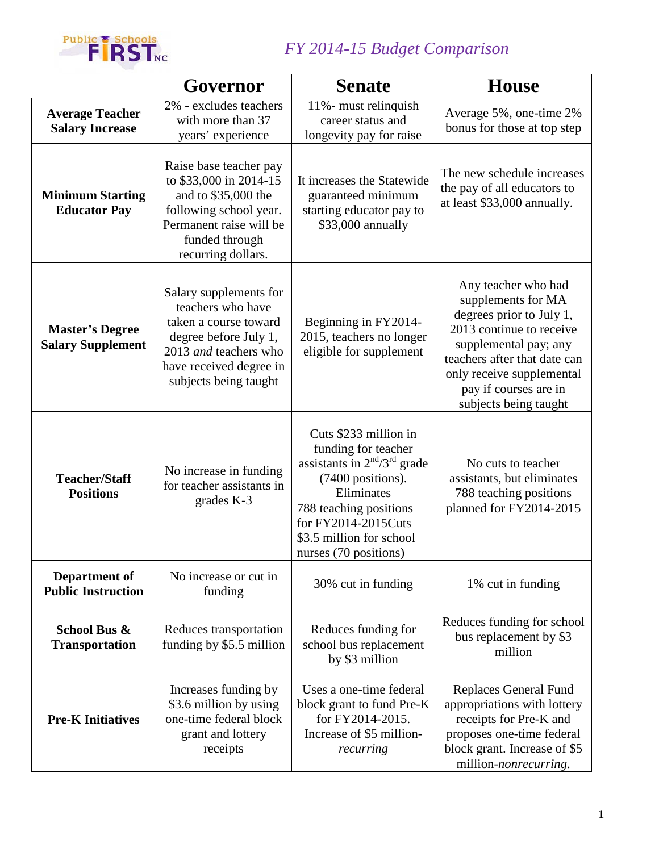

## *FY 2014-15 Budget Comparison*

|                                                    | Governor                                                                                                                                                                   | <b>Senate</b>                                                                                                                                                                                                          | <b>House</b>                                                                                                                                                                                                                              |
|----------------------------------------------------|----------------------------------------------------------------------------------------------------------------------------------------------------------------------------|------------------------------------------------------------------------------------------------------------------------------------------------------------------------------------------------------------------------|-------------------------------------------------------------------------------------------------------------------------------------------------------------------------------------------------------------------------------------------|
| <b>Average Teacher</b><br><b>Salary Increase</b>   | 2% - excludes teachers<br>with more than 37<br>years' experience                                                                                                           | 11%- must relinquish<br>career status and<br>longevity pay for raise                                                                                                                                                   | Average 5%, one-time 2%<br>bonus for those at top step                                                                                                                                                                                    |
| <b>Minimum Starting</b><br><b>Educator Pay</b>     | Raise base teacher pay<br>to \$33,000 in 2014-15<br>and to \$35,000 the<br>following school year.<br>Permanent raise will be<br>funded through<br>recurring dollars.       | It increases the Statewide<br>guaranteed minimum<br>starting educator pay to<br>\$33,000 annually                                                                                                                      | The new schedule increases<br>the pay of all educators to<br>at least \$33,000 annually.                                                                                                                                                  |
| <b>Master's Degree</b><br><b>Salary Supplement</b> | Salary supplements for<br>teachers who have<br>taken a course toward<br>degree before July 1,<br>2013 and teachers who<br>have received degree in<br>subjects being taught | Beginning in FY2014-<br>2015, teachers no longer<br>eligible for supplement                                                                                                                                            | Any teacher who had<br>supplements for MA<br>degrees prior to July 1,<br>2013 continue to receive<br>supplemental pay; any<br>teachers after that date can<br>only receive supplemental<br>pay if courses are in<br>subjects being taught |
| <b>Teacher/Staff</b><br><b>Positions</b>           | No increase in funding<br>for teacher assistants in<br>grades K-3                                                                                                          | Cuts \$233 million in<br>funding for teacher<br>assistants in $2nd/3rd$ grade<br>(7400 positions).<br>Eliminates<br>788 teaching positions<br>for FY2014-2015Cuts<br>\$3.5 million for school<br>nurses (70 positions) | No cuts to teacher<br>assistants, but eliminates<br>788 teaching positions<br>planned for FY2014-2015                                                                                                                                     |
| Department of<br><b>Public Instruction</b>         | No increase or cut in<br>funding                                                                                                                                           | 30% cut in funding                                                                                                                                                                                                     | 1% cut in funding                                                                                                                                                                                                                         |
| School Bus &<br><b>Transportation</b>              | Reduces transportation<br>funding by \$5.5 million                                                                                                                         | Reduces funding for<br>school bus replacement<br>by \$3 million                                                                                                                                                        | Reduces funding for school<br>bus replacement by \$3<br>million                                                                                                                                                                           |
| <b>Pre-K Initiatives</b>                           | Increases funding by<br>\$3.6 million by using<br>one-time federal block<br>grant and lottery<br>receipts                                                                  | Uses a one-time federal<br>block grant to fund Pre-K<br>for FY2014-2015.<br>Increase of \$5 million-<br>recurring                                                                                                      | <b>Replaces General Fund</b><br>appropriations with lottery<br>receipts for Pre-K and<br>proposes one-time federal<br>block grant. Increase of \$5<br>million-nonrecurring.                                                               |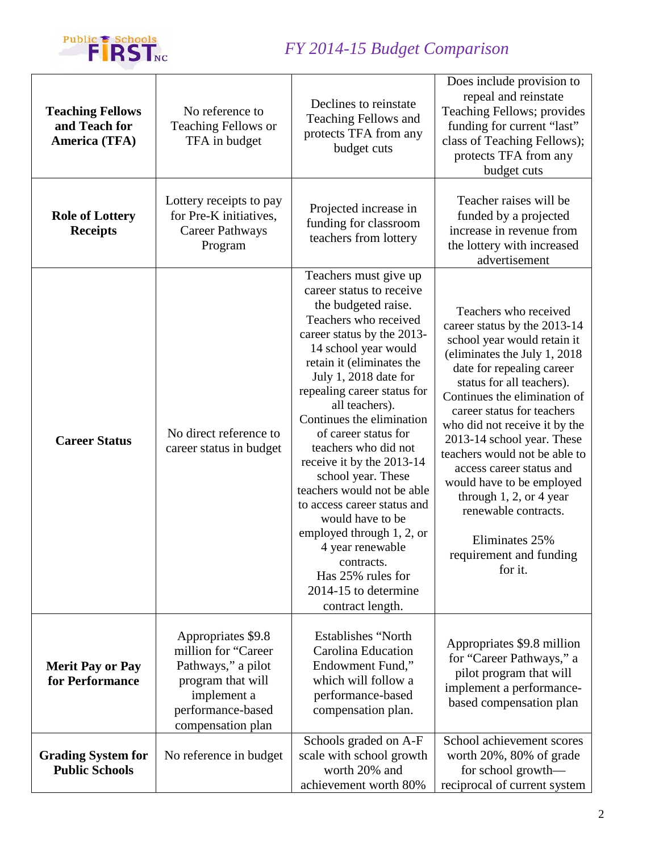

## *FY 2014-15 Budget Comparison*

| <b>Teaching Fellows</b><br>and Teach for<br>America (TFA) | No reference to<br><b>Teaching Fellows or</b><br>TFA in budget                                                                                | Declines to reinstate<br><b>Teaching Fellows and</b><br>protects TFA from any<br>budget cuts                                                                                                                                                                                                                                                                                                                                                                                                                                                                                                                    | Does include provision to<br>repeal and reinstate<br>Teaching Fellows; provides<br>funding for current "last"<br>class of Teaching Fellows);<br>protects TFA from any<br>budget cuts                                                                                                                                                                                                                                                                                                                                 |
|-----------------------------------------------------------|-----------------------------------------------------------------------------------------------------------------------------------------------|-----------------------------------------------------------------------------------------------------------------------------------------------------------------------------------------------------------------------------------------------------------------------------------------------------------------------------------------------------------------------------------------------------------------------------------------------------------------------------------------------------------------------------------------------------------------------------------------------------------------|----------------------------------------------------------------------------------------------------------------------------------------------------------------------------------------------------------------------------------------------------------------------------------------------------------------------------------------------------------------------------------------------------------------------------------------------------------------------------------------------------------------------|
| <b>Role of Lottery</b><br><b>Receipts</b>                 | Lottery receipts to pay<br>for Pre-K initiatives,<br><b>Career Pathways</b><br>Program                                                        | Projected increase in<br>funding for classroom<br>teachers from lottery                                                                                                                                                                                                                                                                                                                                                                                                                                                                                                                                         | Teacher raises will be<br>funded by a projected<br>increase in revenue from<br>the lottery with increased<br>advertisement                                                                                                                                                                                                                                                                                                                                                                                           |
| <b>Career Status</b>                                      | No direct reference to<br>career status in budget                                                                                             | Teachers must give up<br>career status to receive<br>the budgeted raise.<br>Teachers who received<br>career status by the 2013-<br>14 school year would<br>retain it (eliminates the<br>July 1, 2018 date for<br>repealing career status for<br>all teachers).<br>Continues the elimination<br>of career status for<br>teachers who did not<br>receive it by the 2013-14<br>school year. These<br>teachers would not be able<br>to access career status and<br>would have to be<br>employed through 1, 2, or<br>4 year renewable<br>contracts.<br>Has 25% rules for<br>2014-15 to determine<br>contract length. | Teachers who received<br>career status by the 2013-14<br>school year would retain it<br>(eliminates the July 1, 2018)<br>date for repealing career<br>status for all teachers).<br>Continues the elimination of<br>career status for teachers<br>who did not receive it by the<br>2013-14 school year. These<br>teachers would not be able to<br>access career status and<br>would have to be employed<br>through $1, 2$ , or 4 year<br>renewable contracts.<br>Eliminates 25%<br>requirement and funding<br>for it. |
| <b>Merit Pay or Pay</b><br>for Performance                | Appropriates \$9.8<br>million for "Career<br>Pathways," a pilot<br>program that will<br>implement a<br>performance-based<br>compensation plan | <b>Establishes "North</b><br><b>Carolina Education</b><br>Endowment Fund,"<br>which will follow a<br>performance-based<br>compensation plan.                                                                                                                                                                                                                                                                                                                                                                                                                                                                    | Appropriates \$9.8 million<br>for "Career Pathways," a<br>pilot program that will<br>implement a performance-<br>based compensation plan                                                                                                                                                                                                                                                                                                                                                                             |
| <b>Grading System for</b><br><b>Public Schools</b>        | No reference in budget                                                                                                                        | Schools graded on A-F<br>scale with school growth<br>worth 20% and<br>achievement worth 80%                                                                                                                                                                                                                                                                                                                                                                                                                                                                                                                     | School achievement scores<br>worth 20%, 80% of grade<br>for school growth-<br>reciprocal of current system                                                                                                                                                                                                                                                                                                                                                                                                           |